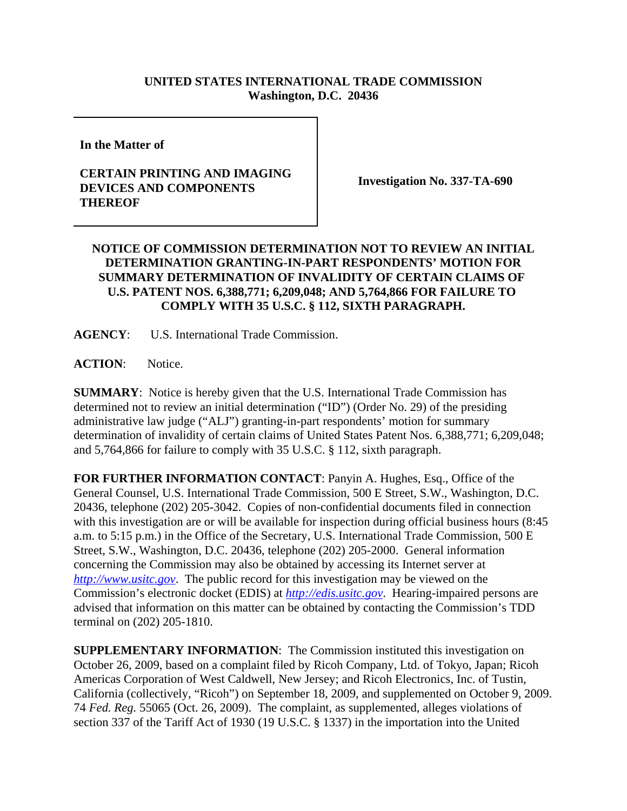## **UNITED STATES INTERNATIONAL TRADE COMMISSION Washington, D.C. 20436**

**In the Matter of** 

## **CERTAIN PRINTING AND IMAGING DEVICES AND COMPONENTS THEREOF**

**Investigation No. 337-TA-690**

## **NOTICE OF COMMISSION DETERMINATION NOT TO REVIEW AN INITIAL DETERMINATION GRANTING-IN-PART RESPONDENTS' MOTION FOR SUMMARY DETERMINATION OF INVALIDITY OF CERTAIN CLAIMS OF U.S. PATENT NOS. 6,388,771; 6,209,048; AND 5,764,866 FOR FAILURE TO COMPLY WITH 35 U.S.C. § 112, SIXTH PARAGRAPH.**

**AGENCY**: U.S. International Trade Commission.

**ACTION**: Notice.

**SUMMARY**: Notice is hereby given that the U.S. International Trade Commission has determined not to review an initial determination ("ID") (Order No. 29) of the presiding administrative law judge ("ALJ") granting-in-part respondents' motion for summary determination of invalidity of certain claims of United States Patent Nos. 6,388,771; 6,209,048; and 5,764,866 for failure to comply with 35 U.S.C. § 112, sixth paragraph.

**FOR FURTHER INFORMATION CONTACT**: Panyin A. Hughes, Esq., Office of the General Counsel, U.S. International Trade Commission, 500 E Street, S.W., Washington, D.C. 20436, telephone (202) 205-3042. Copies of non-confidential documents filed in connection with this investigation are or will be available for inspection during official business hours (8:45 a.m. to 5:15 p.m.) in the Office of the Secretary, U.S. International Trade Commission, 500 E Street, S.W., Washington, D.C. 20436, telephone (202) 205-2000. General information concerning the Commission may also be obtained by accessing its Internet server at *http://www.usitc.gov*. The public record for this investigation may be viewed on the Commission's electronic docket (EDIS) at *http://edis.usitc.gov*. Hearing-impaired persons are advised that information on this matter can be obtained by contacting the Commission's TDD terminal on (202) 205-1810.

**SUPPLEMENTARY INFORMATION:** The Commission instituted this investigation on October 26, 2009, based on a complaint filed by Ricoh Company, Ltd. of Tokyo, Japan; Ricoh Americas Corporation of West Caldwell, New Jersey; and Ricoh Electronics, Inc. of Tustin, California (collectively, "Ricoh") on September 18, 2009, and supplemented on October 9, 2009. 74 *Fed. Reg.* 55065 (Oct. 26, 2009). The complaint, as supplemented, alleges violations of section 337 of the Tariff Act of 1930 (19 U.S.C. § 1337) in the importation into the United